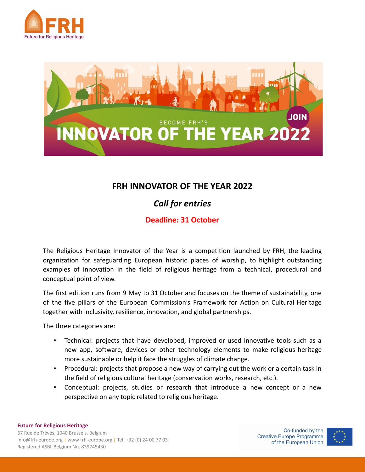



# **FRH INNOVATOR OF THE YEAR 2022**

# *Call for entries*

# **Deadline: 31 October**

The Religious Heritage Innovator of the Year is a competition launched by FRH, the leading organization for safeguarding European historic places of worship, to highlight outstanding examples of innovation in the field of religious heritage from a technical, procedural and conceptual point of view.

The first edition runs from 9 May to 31 October and focuses on the theme of sustainability, one of the five pillars of the European Commission's Framework for Action on Cultural Heritage together with inclusivity, resilience, innovation, and global partnerships.

The three categories are:

- Technical: projects that have developed, improved or used innovative tools such as a new app, software, devices or other technology elements to make religious heritage more sustainable or help it face the struggles of climate change.
- Procedural: projects that propose a new way of carrying out the work or a certain task in the field of religious cultural heritage (conservation works, research, etc.).
- Conceptual: projects, studies or research that introduce a new concept or a new perspective on any topic related to religious heritage.

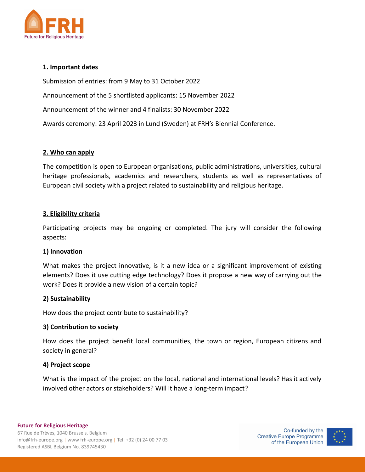

# **1. Important dates**

Submission of entries: from 9 May to 31 October 2022 Announcement of the 5 shortlisted applicants: 15 November 2022 Announcement of the winner and 4 finalists: 30 November 2022 Awards ceremony: 23 April 2023 in Lund (Sweden) at FRH's Biennial Conference.

#### **2. Who can apply**

The competition is open to European organisations, public administrations, universities, cultural heritage professionals, academics and researchers, students as well as representatives of European civil society with a project related to sustainability and religious heritage.

#### **3. Eligibility criteria**

Participating projects may be ongoing or completed. The jury will consider the following aspects:

#### **1) Innovation**

What makes the project innovative, is it a new idea or a significant improvement of existing elements? Does it use cutting edge technology? Does it propose a new way of carrying out the work? Does it provide a new vision of a certain topic?

#### **2) Sustainability**

How does the project contribute to sustainability?

## **3) Contribution to society**

How does the project benefit local communities, the town or region, European citizens and society in general?

#### **4) Project scope**

What is the impact of the project on the local, national and international levels? Has it actively involved other actors or stakeholders? Will it have a long-term impact?

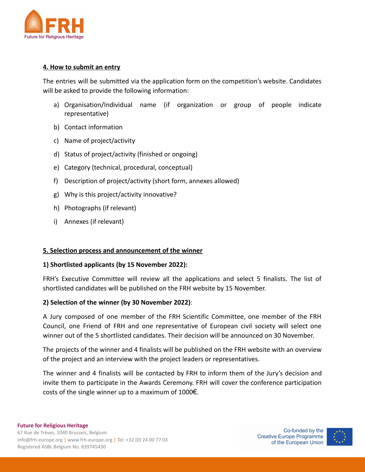

# **4. How to submit an entry**

The entries will be submitted via the application form on the competition's website. Candidates will be asked to provide the following information:

- a) Organisation/Individual name (if organization or group of people indicate representative)
- b) Contact information
- c) Name of project/activity
- d) Status of project/activity (finished or ongoing)
- e) Category (technical, procedural, conceptual)
- f) Description of project/activity (short form, annexes allowed)
- g) Why is this project/activity innovative?
- h) Photographs (if relevant)
- i) Annexes (if relevant)

## **5. Selection process and announcement of the winner**

## **1) Shortlisted applicants (by 15 November 2022):**

FRH's Executive Committee will review all the applications and select 5 finalists. The list of shortlisted candidates will be published on the FRH website by 15 November.

## **2) Selection of the winner (by 30 November 2022)**:

A Jury composed of one member of the FRH Scientific Committee, one member of the FRH Council, one Friend of FRH and one representative of European civil society will select one winner out of the 5 shortlisted candidates. Their decision will be announced on 30 November.

The projects of the winner and 4 finalists will be published on the FRH website with an overview of the project and an interview with the project leaders or representatives.

The winner and 4 finalists will be contacted by FRH to inform them of the Jury's decision and invite them to participate in the Awards Ceremony. FRH will cover the conference participation costs of the single winner up to a maximum of 1000€.